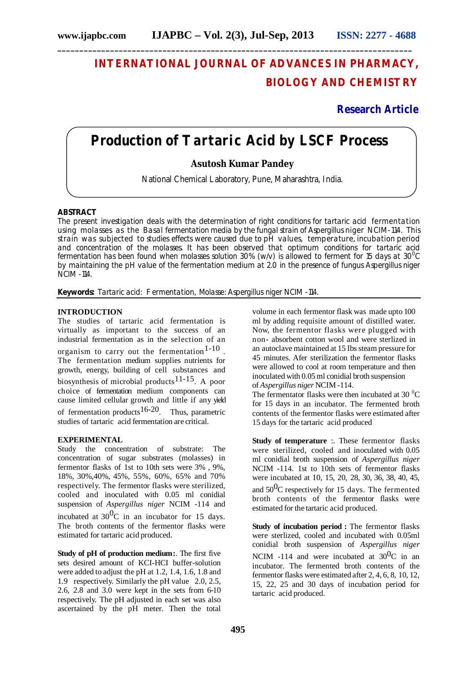# **INTERNATIONAL JOURNAL OF ADVANCES IN PHARMACY, BIOLOGY AND CHEMISTRY**

## **Research Article**

## **Production of Tartaric Acid by LSCF Process**

### **Asutosh Kumar Pandey**

National Chemical Laboratory, Pune, Maharashtra, India.

#### **ABSTRACT**

The present investigation deals with the determination of right conditions for tartaric acid fermentation using molasses as the Basal fermentation media by the fungal strain of *Aspergillus niger* NCIM-114. This strain was subjected to studies effects were caused due to pH values, temperature, incubation period and concentration of the molasses. It has been observed that optimum conditions for tartaric acid fermentation has been found when molasses solution 30% (w/v) is allowed to ferment for 15 days at 30 0 C by maintaining the pH value of the fermentation medium at 2.0 in the presence of fungus *Aspergillus niger*  NCIM -114.

**Keywords:** Tartaric acid: F ermentation, Molasse: *Aspergillus niger* NCIM *-*114.

#### **INTRODUCTION**

The studies of tartaric acid fermentation is virtually as important to the success of an industrial fermentation as in the selection of an organism to carry out the fermentation 1-10 . The fermentation medium supplies nutrients for growth, energy, building of cell substances and biosynthesis of microbial products<sup>11-15</sup>. A poor choice of fermentation medium components can cause limited cellular growth and little if any yield of fermentation products<sup>16-20</sup>. Thus, parametric studies of tartaric acid fermentation are critical.

#### **EXPERIMENTAL**

Study the concentration of substrate: The concentration of sugar substrates (molasses) in fermentor flasks of 1st to 10th sets were 3% , 9%, 18%, 30%,40%, 45%, 55%, 60%, 65% and 70% respectively. The fermentor flasks were sterilized, cooled and inoculated with 0.05 ml conidial suspension of *Aspergillus niger* NCIM *-*114 and

incubated at  $30^{0}$ C in an incubator for 15 days. The broth contents of the fermentor flasks were estimated for tartaric acid produced.

**Study of pH of production medium:**. The first five sets desired amount of KCI-HCI buffer-solution were added to adjust the pH at 1.2, 1.4, 1.6, 1.8 and 1.9 respectively. Similarly the pH value 2.0, 2.5, 2.6, 2.8 and 3.0 were kept in the sets from 6-10 respectively. The pH adjusted in each set was also ascertained by the pH meter. Then the total volume in each fermentor flask was made upto 100 ml by adding requisite amount of distilled water. Now, the fermentor flasks were plugged with non- absorbent cotton wool and were sterlized in an autoclave maintained at 15 Ibs steam pressure for 45 minutes. Afer sterilization the fermentor flasks were allowed to cool at room temperature and then inoculated with 0.05ml conidial broth suspension of *Aspergillus niger* NCIM *-*114.

The fermentator flasks were then incubated at 30 $\mathrm{^{0}C}$ for 15 days in an incubator. The fermented broth contents of the fermentor flasks were estimated after 15 days for the tartaric acid produced

**Study of temperature** :. These fermentor flasks were sterilized, cooled and inoculated with 0.05 ml conidial broth suspension of *Aspergillus niger* NCIM *-*114. 1st to 10th sets of fermentor flasks were incubated at 10, 15, 20, 28, 30, 36, 38, 40, 45, and  $50^{0}$ C respectively for 15 days. The fermented broth contents of the fermentor flasks were estimated for the tartaric acid produced.

**Study of incubation period :** The fermentor flasks were sterlized, cooled and incubated with 0.05ml conidial broth suspension of *Aspergillus niger*

NCIM  $-114$  and were incubated at  $30^{0}$ C in an incubator. The fermented broth contents of the fermentor flasks were estimated after 2, 4, 6, 8, 10, 12, 15, 22, 25 and 30 days of incubation period for tartaric acid produced.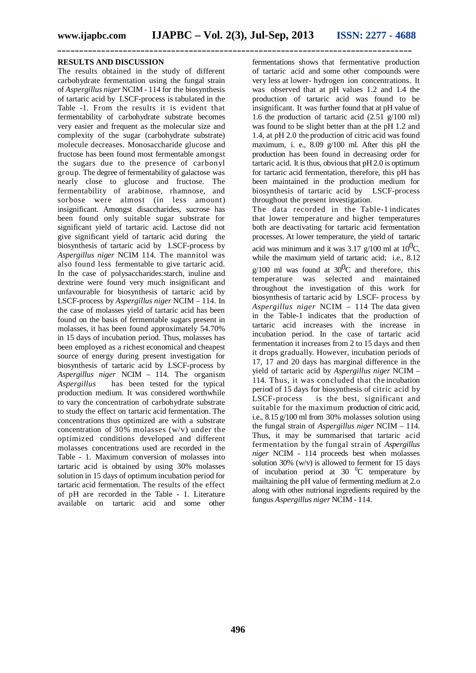#### **RESULTS AND DISCUSSION**

The results obtained in the study of different carbohydrate fermentation using the fungal strain of *Aspergillus niger* NCIM - 114 for the biosynthesis of tartaric acid by LSCF-process is tabulated in the Table -1. From the results it is evident that fermentability of carbohydrate substrate becomes very easier and frequent as the molecular size and complexity of the sugar (carbohydrate substrate) molecule decreases. Monosaccharide glucose and fructose has been found most fermentable amongst the sugars due to the presence of carbonyl group. The degree of fermentability of galactose was nearly close to glucose and fructose. The fermentability of arabinose, rhamnose, and sorbose were almost (in less amount) insignificant. Amongst disaccharides, sucrose has been found only suitable sugar substrate for significant yield of tartaric acid. Lactose did not give significant yield of tartaric acid during the biosynthesis of tartaric acid by LSCF-process by *Aspergillus niger* NCIM 114. The mannitol was also found less fermentable to give tartaric acid. In the case of polysaccharides:starch, inuline and dextrine were found very much insignificant and unfavourable for biosynthesis of tartaric acid by LSCF-process by *Aspergillus niger* NCIM – 114. In the case of molasses yield of tartaric acid has been found on the basis of fermentable sugars present in molasses, it has been found approximately 54.70% in 15 days of incubation period. Thus, molasses has been employed as a richest economical and cheapest source of energy during present investigation for biosynthesis of tartaric acid by LSCF-process by *Aspergillus niger* NCIM – 114. The organism *Aspergillus* has been tested for the typical production medium. It was considered worthwhile to vary the concentration of carbohydrate substrate to study the effect on tartaric acid fermentation. The concentrations thus optimized are with a substrate concentration of 30% molasses (w/v) under the optimized conditions developed and different molasses concentrations used are recorded in the Table - 1. Maximum conversion of molasses into tartaric acid is obtained by using 30% molasses solution in 15 days of optimum incubation period for tartaric acid fermentation. The results of the effect of pH are recorded in the Table - 1. Literature available on tartaric acid and some other

fermentations shows that fermentative production of tartaric acid and some other compounds were very less at lower- hydrogen ion concentrations. It was observed that at pH values 1.2 and 1.4 the production of tartaric acid was found to be insignificant. It was further found that at pH value of 1.6 the production of tartaric acid  $(2.51 \text{ g}/100 \text{ ml})$ was found to be slight better than at the pH 1.2 and 1.4, at pH 2.0 the production of citric acid was found maximum, i. e.,  $8.09 \frac{\text{g}}{100}$  ml. After this pH the production has been found in decreasing order for tartaric acid. It is thus, obvious that  $pH 2.0$  is optimum for tartaric acid fermentation, therefore, this pH has been maintained in the production medium for biosynthesis of tartaric acid by LSCF-process throughout the present investigation.

The data recorded in the Table-1 indicates that lower temperature and higher temperatures both are deactivating for tartaric acid fermentation processes. At lower temperature, the yield of tartaric acid was minimum and it was 3.17 g/100 ml at  $10^{0}$ C, while the maximum yield of tartaric acid; i.e., 8.12  $g/100$  ml was found at  $30^{0}$ C and therefore, this temperature was selected and maintained throughout the investigation of this work for biosynthesis of tartaric acid by LSCF- process by *Aspergillus niger* NCIM – 114 The data given in the Table-1 indicates that the production of tartaric acid increases with the increase in incubation period. In the case of tartaric acid fermentation it increases from 2 to 15 days and then it drops gradually. However, incubation periods of 17, 17 and 20 days has marginal difference in the yield of tartaric acid by *Aspergillus niger* NCIM – 114. Thus, it was concluded that the incubation period of 15 days for biosynthesis of citric acid by<br>LSCF-process is the best, significant and is the best, significant and suitable for the maximum production of citric acid, i.e., 8.15 g/100 ml from 30% molasses solution using the fungal strain of *Aspergillus niger* NCIM – 114. Thus, it may be summarised that tartaric acid fermentation by the fungal strain of *Aspergillus niger* NCIM - 114 proceeds best when molasses solution 30% (w/v) is allowed to ferment for 15 days of incubation period at 30  $^{\circ}$ C temperature by mailtaining the pH value of fermenting medium at 2.o along with other nutrional ingredients required by the fungus *Aspergillus niger* NCIM - 114.